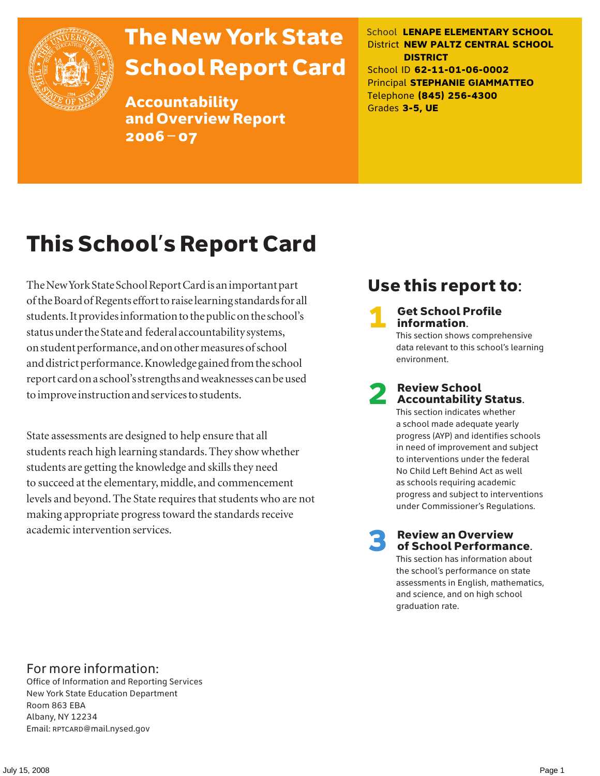

# The New York State School Report Card

Accountability and Overview Report 2006–07

School **LENAPE ELEMENTARY SCHOOL** District **NEW PALTZ CENTRAL SCHOOL DISTRICT** School ID **62-11-01-06-0002** Principal **STEPHANIE GIAMMATTEO** Telephone **(845) 256-4300** Grades **3-5, UE**

# This School's Report Card

The New York State School Report Card is an important part of the Board of Regents effort to raise learning standards for all students. It provides information to the public on the school's status under the State and federal accountability systems, on student performance, and on other measures of school and district performance. Knowledge gained from the school report card on a school's strengths and weaknesses can be used to improve instruction and services to students.

State assessments are designed to help ensure that all students reach high learning standards. They show whether students are getting the knowledge and skills they need to succeed at the elementary, middle, and commencement levels and beyond. The State requires that students who are not making appropriate progress toward the standards receive academic intervention services.

## Use this report to:

**Get School Profile** information.

This section shows comprehensive data relevant to this school's learning environment.

# 2 Review School Accountability Status.

This section indicates whether a school made adequate yearly progress (AYP) and identifies schools in need of improvement and subject to interventions under the federal No Child Left Behind Act as well as schools requiring academic progress and subject to interventions under Commissioner's Regulations.

**Review an Overview** of School Performance.

This section has information about the school's performance on state assessments in English, mathematics, and science, and on high school graduation rate.

### For more information:

Office of Information and Reporting Services New York State Education Department Room 863 EBA Albany, NY 12234 Email: RPTCARD@mail.nysed.gov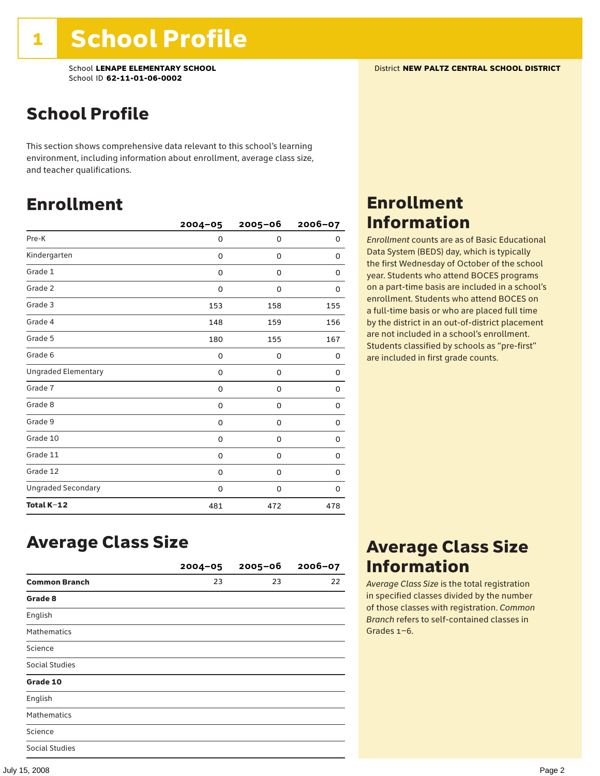## School Profile

This section shows comprehensive data relevant to this school's learning environment, including information about enrollment, average class size, and teacher qualifications.

### Enrollment

|                            | $2004 - 05$ | $2005 - 06$ | 2006-07 |
|----------------------------|-------------|-------------|---------|
| Pre-K                      | 0           | 0           | 0       |
| Kindergarten               | 0           | 0           | 0       |
| Grade 1                    | 0           | 0           | 0       |
| Grade 2                    | 0           | 0           | 0       |
| Grade 3                    | 153         | 158         | 155     |
| Grade 4                    | 148         | 159         | 156     |
| Grade 5                    | 180         | 155         | 167     |
| Grade 6                    | 0           | 0           | 0       |
| <b>Ungraded Elementary</b> | 0           | 0           | 0       |
| Grade 7                    | 0           | 0           | 0       |
| Grade 8                    | 0           | 0           | 0       |
| Grade 9                    | 0           | 0           | 0       |
| Grade 10                   | 0           | 0           | 0       |
| Grade 11                   | 0           | 0           | 0       |
| Grade 12                   | 0           | 0           | 0       |
| <b>Ungraded Secondary</b>  | 0           | 0           | 0       |
| Total K-12                 | 481         | 472         | 478     |

# Enrollment Information

*Enrollment* counts are as of Basic Educational Data System (BEDS) day, which is typically the first Wednesday of October of the school year. Students who attend BOCES programs on a part-time basis are included in a school's enrollment. Students who attend BOCES on a full-time basis or who are placed full time by the district in an out-of-district placement are not included in a school's enrollment. Students classified by schools as "pre-first" are included in first grade counts.

### Average Class Size

|                       | $2004 - 05$ | $2005 - 06$ | $2006 - 07$ |
|-----------------------|-------------|-------------|-------------|
| <b>Common Branch</b>  | 23          | 23          | 22          |
| Grade 8               |             |             |             |
| English               |             |             |             |
| <b>Mathematics</b>    |             |             |             |
| Science               |             |             |             |
| <b>Social Studies</b> |             |             |             |
| Grade 10              |             |             |             |
| English               |             |             |             |
| <b>Mathematics</b>    |             |             |             |
| Science               |             |             |             |
| <b>Social Studies</b> |             |             |             |

### Average Class Size Information

*Average Class Size* is the total registration in specified classes divided by the number of those classes with registration. *Common Branch* refers to self-contained classes in Grades 1–6.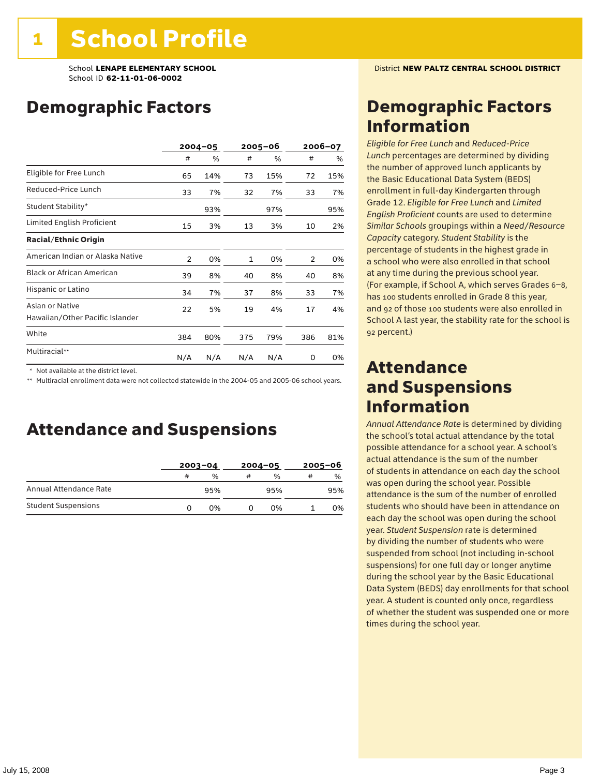## Demographic Factors

|                                                    | $2004 - 05$    |     | 2005-06 |     | 2006-07 |     |
|----------------------------------------------------|----------------|-----|---------|-----|---------|-----|
|                                                    | #              | %   | #       | %   | #       | %   |
| Eligible for Free Lunch                            | 65             | 14% | 73      | 15% | 72      | 15% |
| Reduced-Price Lunch                                | 33             | 7%  | 32      | 7%  | 33      | 7%  |
| Student Stability*                                 |                | 93% |         | 97% |         | 95% |
| Limited English Proficient                         | 15             | 3%  | 13      | 3%  | 10      | 2%  |
| <b>Racial/Ethnic Origin</b>                        |                |     |         |     |         |     |
| American Indian or Alaska Native                   | $\overline{2}$ | 0%  | 1       | 0%  | 2       | 0%  |
| <b>Black or African American</b>                   | 39             | 8%  | 40      | 8%  | 40      | 8%  |
| Hispanic or Latino                                 | 34             | 7%  | 37      | 8%  | 33      | 7%  |
| Asian or Native<br>Hawaiian/Other Pacific Islander | 22             | 5%  | 19      | 4%  | 17      | 4%  |
| White                                              | 384            | 80% | 375     | 79% | 386     | 81% |
| Multiracial**                                      | N/A            | N/A | N/A     | N/A | 0       | 0%  |

\* Not available at the district level.

\*\* Multiracial enrollment data were not collected statewide in the 2004-05 and 2005-06 school years.

### Attendance and Suspensions

|                            |   | $2003 - 04$ |   | $2004 - 05$   | $2005 - 06$ |               |
|----------------------------|---|-------------|---|---------------|-------------|---------------|
|                            | # | %           | # | $\frac{0}{0}$ | #           | $\frac{0}{0}$ |
| Annual Attendance Rate     |   | 95%         |   | 95%           |             | 95%           |
| <b>Student Suspensions</b> |   | በ%          |   | በ%            |             | 0%            |

### Demographic Factors Information

*Eligible for Free Lunch* and *Reduced*-*Price Lunch* percentages are determined by dividing the number of approved lunch applicants by the Basic Educational Data System (BEDS) enrollment in full-day Kindergarten through Grade 12. *Eligible for Free Lunch* and *Limited English Proficient* counts are used to determine *Similar Schools* groupings within a *Need*/*Resource Capacity* category. *Student Stability* is the percentage of students in the highest grade in a school who were also enrolled in that school at any time during the previous school year. (For example, if School A, which serves Grades 6–8, has 100 students enrolled in Grade 8 this year, and 92 of those 100 students were also enrolled in School A last year, the stability rate for the school is 92 percent.)

### Attendance and Suspensions Information

*Annual Attendance Rate* is determined by dividing the school's total actual attendance by the total possible attendance for a school year. A school's actual attendance is the sum of the number of students in attendance on each day the school was open during the school year. Possible attendance is the sum of the number of enrolled students who should have been in attendance on each day the school was open during the school year. *Student Suspension* rate is determined by dividing the number of students who were suspended from school (not including in-school suspensions) for one full day or longer anytime during the school year by the Basic Educational Data System (BEDS) day enrollments for that school year. A student is counted only once, regardless of whether the student was suspended one or more times during the school year.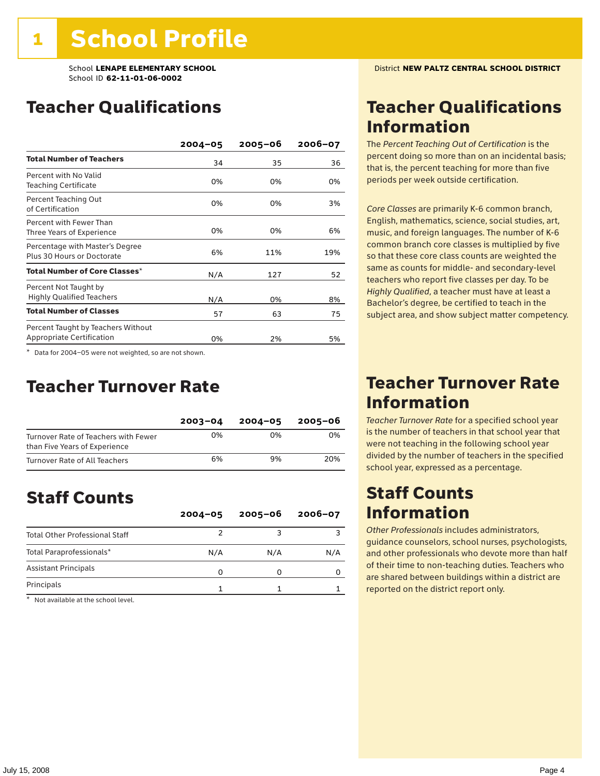### Teacher Qualifications

|                                                                        | $2004 - 05$ | $2005 - 06$ | 2006-07 |
|------------------------------------------------------------------------|-------------|-------------|---------|
| <b>Total Number of Teachers</b>                                        | 34          | 35          | 36      |
| Percent with No Valid<br><b>Teaching Certificate</b>                   | 0%          | 0%          | 0%      |
| Percent Teaching Out<br>of Certification                               | 0%          | 0%          | 3%      |
| Percent with Fewer Than<br>Three Years of Experience                   | 0%          | 0%          | 6%      |
| Percentage with Master's Degree<br>Plus 30 Hours or Doctorate          | 6%          | 11%         | 19%     |
| Total Number of Core Classes*                                          | N/A         | 127         | 52      |
| Percent Not Taught by<br><b>Highly Qualified Teachers</b>              | N/A         | 0%          | 8%      |
| <b>Total Number of Classes</b>                                         | 57          | 63          | 75      |
| Percent Taught by Teachers Without<br><b>Appropriate Certification</b> | 0%          | 2%          | 5%      |

\* Data for 2004–05 were not weighted, so are not shown.

### Teacher Turnover Rate

|                                                                       | $2003 - 04$ | $2004 - 05$ | 2005-06 |
|-----------------------------------------------------------------------|-------------|-------------|---------|
| Turnover Rate of Teachers with Fewer<br>than Five Years of Experience | 0%          | በ%          | በ%      |
| Turnover Rate of All Teachers                                         | 6%          | 9%          | 20%     |

## Staff Counts

|                                       | $2004 - 05$ | $2005 - 06$ | $2006 - 07$ |
|---------------------------------------|-------------|-------------|-------------|
| <b>Total Other Professional Staff</b> |             |             |             |
| Total Paraprofessionals*              | N/A         | N/A         | N/A         |
| <b>Assistant Principals</b>           | n           |             |             |
| Principals                            |             |             |             |

\* Not available at the school level.

### Teacher Qualifications Information

The *Percent Teaching Out of Certification* is the percent doing so more than on an incidental basis; that is, the percent teaching for more than five periods per week outside certification.

*Core Classes* are primarily K-6 common branch, English, mathematics, science, social studies, art, music, and foreign languages. The number of K-6 common branch core classes is multiplied by five so that these core class counts are weighted the same as counts for middle- and secondary-level teachers who report five classes per day. To be *Highly Qualified*, a teacher must have at least a Bachelor's degree, be certified to teach in the subject area, and show subject matter competency.

### Teacher Turnover Rate Information

*Teacher Turnover Rate* for a specified school year is the number of teachers in that school year that were not teaching in the following school year divided by the number of teachers in the specified school year, expressed as a percentage.

### Staff Counts Information

*Other Professionals* includes administrators, guidance counselors, school nurses, psychologists, and other professionals who devote more than half of their time to non-teaching duties. Teachers who are shared between buildings within a district are reported on the district report only.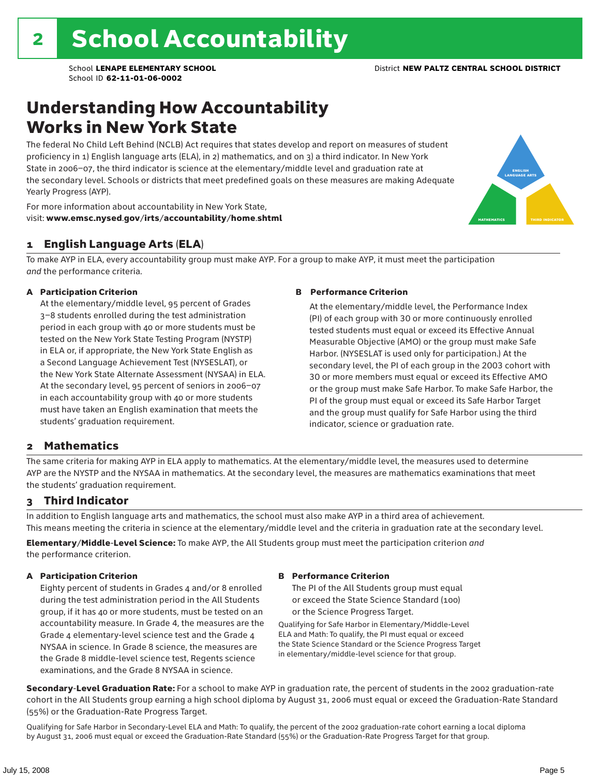### Understanding How Accountability Works in New York State

The federal No Child Left Behind (NCLB) Act requires that states develop and report on measures of student proficiency in 1) English language arts (ELA), in 2) mathematics, and on 3) a third indicator. In New York State in 2006–07, the third indicator is science at the elementary/middle level and graduation rate at the secondary level. Schools or districts that meet predefined goals on these measures are making Adequate Yearly Progress (AYP).



For more information about accountability in New York State, visit: www.emsc.nysed.gov/irts/accountability/home.shtml

#### 1 English Language Arts (ELA)

To make AYP in ELA, every accountability group must make AYP. For a group to make AYP, it must meet the participation *and* the performance criteria.

#### A Participation Criterion

At the elementary/middle level, 95 percent of Grades 3–8 students enrolled during the test administration period in each group with 40 or more students must be tested on the New York State Testing Program (NYSTP) in ELA or, if appropriate, the New York State English as a Second Language Achievement Test (NYSESLAT), or the New York State Alternate Assessment (NYSAA) in ELA. At the secondary level, 95 percent of seniors in 2006–07 in each accountability group with 40 or more students must have taken an English examination that meets the students' graduation requirement.

#### B Performance Criterion

At the elementary/middle level, the Performance Index (PI) of each group with 30 or more continuously enrolled tested students must equal or exceed its Effective Annual Measurable Objective (AMO) or the group must make Safe Harbor. (NYSESLAT is used only for participation.) At the secondary level, the PI of each group in the 2003 cohort with 30 or more members must equal or exceed its Effective AMO or the group must make Safe Harbor. To make Safe Harbor, the PI of the group must equal or exceed its Safe Harbor Target and the group must qualify for Safe Harbor using the third indicator, science or graduation rate.

#### 2 Mathematics

The same criteria for making AYP in ELA apply to mathematics. At the elementary/middle level, the measures used to determine AYP are the NYSTP and the NYSAA in mathematics. At the secondary level, the measures are mathematics examinations that meet the students' graduation requirement.

#### 3 Third Indicator

In addition to English language arts and mathematics, the school must also make AYP in a third area of achievement. This means meeting the criteria in science at the elementary/middle level and the criteria in graduation rate at the secondary level.

Elementary/Middle-Level Science: To make AYP, the All Students group must meet the participation criterion *and* the performance criterion.

#### A Participation Criterion

Eighty percent of students in Grades 4 and/or 8 enrolled during the test administration period in the All Students group, if it has 40 or more students, must be tested on an accountability measure. In Grade 4, the measures are the Grade 4 elementary-level science test and the Grade 4 NYSAA in science. In Grade 8 science, the measures are the Grade 8 middle-level science test, Regents science examinations, and the Grade 8 NYSAA in science.

#### B Performance Criterion

The PI of the All Students group must equal or exceed the State Science Standard (100) or the Science Progress Target.

Qualifying for Safe Harbor in Elementary/Middle-Level ELA and Math: To qualify, the PI must equal or exceed the State Science Standard or the Science Progress Target in elementary/middle-level science for that group.

Secondary-Level Graduation Rate: For a school to make AYP in graduation rate, the percent of students in the 2002 graduation-rate cohort in the All Students group earning a high school diploma by August 31, 2006 must equal or exceed the Graduation-Rate Standard (55%) or the Graduation-Rate Progress Target.

Qualifying for Safe Harbor in Secondary-Level ELA and Math: To qualify, the percent of the 2002 graduation-rate cohort earning a local diploma by August 31, 2006 must equal or exceed the Graduation-Rate Standard (55%) or the Graduation-Rate Progress Target for that group.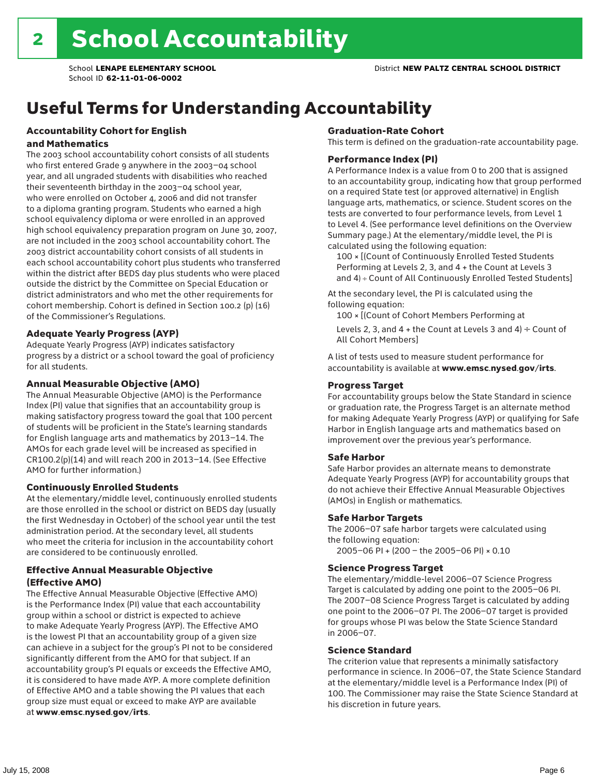# Useful Terms for Understanding Accountability

#### Accountability Cohort for English and Mathematics

The 2003 school accountability cohort consists of all students who first entered Grade 9 anywhere in the 2003–04 school year, and all ungraded students with disabilities who reached their seventeenth birthday in the 2003–04 school year, who were enrolled on October 4, 2006 and did not transfer to a diploma granting program. Students who earned a high school equivalency diploma or were enrolled in an approved high school equivalency preparation program on June 30, 2007, are not included in the 2003 school accountability cohort. The 2003 district accountability cohort consists of all students in each school accountability cohort plus students who transferred within the district after BEDS day plus students who were placed outside the district by the Committee on Special Education or district administrators and who met the other requirements for cohort membership. Cohort is defined in Section 100.2 (p) (16) of the Commissioner's Regulations.

#### Adequate Yearly Progress (AYP)

Adequate Yearly Progress (AYP) indicates satisfactory progress by a district or a school toward the goal of proficiency for all students.

#### Annual Measurable Objective (AMO)

The Annual Measurable Objective (AMO) is the Performance Index (PI) value that signifies that an accountability group is making satisfactory progress toward the goal that 100 percent of students will be proficient in the State's learning standards for English language arts and mathematics by 2013–14. The AMOs for each grade level will be increased as specified in CR100.2(p)(14) and will reach 200 in 2013–14. (See Effective AMO for further information.)

#### Continuously Enrolled Students

At the elementary/middle level, continuously enrolled students are those enrolled in the school or district on BEDS day (usually the first Wednesday in October) of the school year until the test administration period. At the secondary level, all students who meet the criteria for inclusion in the accountability cohort are considered to be continuously enrolled.

#### Effective Annual Measurable Objective (Effective AMO)

The Effective Annual Measurable Objective (Effective AMO) is the Performance Index (PI) value that each accountability group within a school or district is expected to achieve to make Adequate Yearly Progress (AYP). The Effective AMO is the lowest PI that an accountability group of a given size can achieve in a subject for the group's PI not to be considered significantly different from the AMO for that subject. If an accountability group's PI equals or exceeds the Effective AMO, it is considered to have made AYP. A more complete definition of Effective AMO and a table showing the PI values that each group size must equal or exceed to make AYP are available at www.emsc.nysed.gov/irts.

#### Graduation-Rate Cohort

This term is defined on the graduation-rate accountability page.

#### Performance Index (PI)

A Performance Index is a value from 0 to 200 that is assigned to an accountability group, indicating how that group performed on a required State test (or approved alternative) in English language arts, mathematics, or science. Student scores on the tests are converted to four performance levels, from Level 1 to Level 4. (See performance level definitions on the Overview Summary page.) At the elementary/middle level, the PI is calculated using the following equation:

100 × [(Count of Continuously Enrolled Tested Students Performing at Levels 2, 3, and 4 + the Count at Levels 3 and 4) ÷ Count of All Continuously Enrolled Tested Students]

At the secondary level, the PI is calculated using the following equation:

100 × [(Count of Cohort Members Performing at

Levels 2, 3, and 4 + the Count at Levels 3 and 4)  $\div$  Count of All Cohort Members]

A list of tests used to measure student performance for accountability is available at www.emsc.nysed.gov/irts.

#### Progress Target

For accountability groups below the State Standard in science or graduation rate, the Progress Target is an alternate method for making Adequate Yearly Progress (AYP) or qualifying for Safe Harbor in English language arts and mathematics based on improvement over the previous year's performance.

#### Safe Harbor

Safe Harbor provides an alternate means to demonstrate Adequate Yearly Progress (AYP) for accountability groups that do not achieve their Effective Annual Measurable Objectives (AMOs) in English or mathematics.

#### Safe Harbor Targets

The 2006–07 safe harbor targets were calculated using the following equation:

2005–06 PI + (200 – the 2005–06 PI) × 0.10

#### Science Progress Target

The elementary/middle-level 2006–07 Science Progress Target is calculated by adding one point to the 2005–06 PI. The 2007–08 Science Progress Target is calculated by adding one point to the 2006–07 PI. The 2006–07 target is provided for groups whose PI was below the State Science Standard in 2006–07.

#### Science Standard

The criterion value that represents a minimally satisfactory performance in science. In 2006–07, the State Science Standard at the elementary/middle level is a Performance Index (PI) of 100. The Commissioner may raise the State Science Standard at his discretion in future years.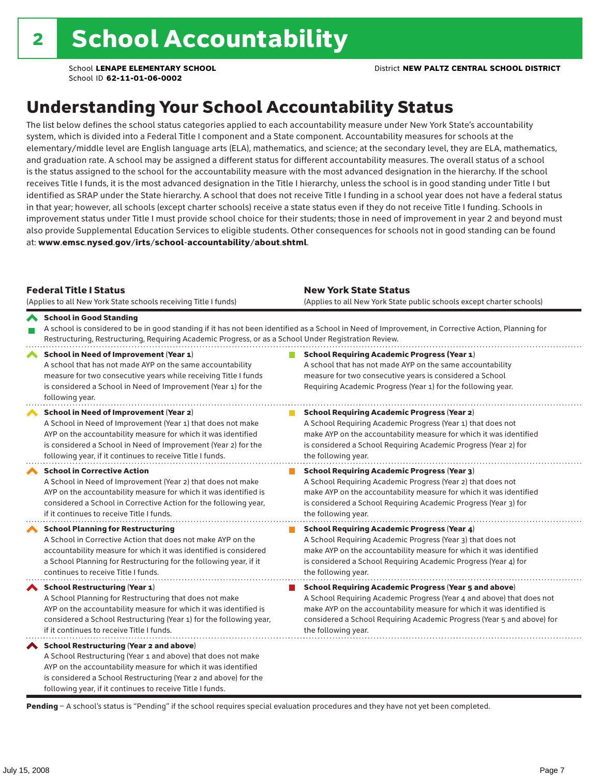## Understanding Your School Accountability Status

The list below defines the school status categories applied to each accountability measure under New York State's accountability system, which is divided into a Federal Title I component and a State component. Accountability measures for schools at the elementary/middle level are English language arts (ELA), mathematics, and science; at the secondary level, they are ELA, mathematics, and graduation rate. A school may be assigned a different status for different accountability measures. The overall status of a school is the status assigned to the school for the accountability measure with the most advanced designation in the hierarchy. If the school receives Title I funds, it is the most advanced designation in the Title I hierarchy, unless the school is in good standing under Title I but identified as SRAP under the State hierarchy. A school that does not receive Title I funding in a school year does not have a federal status in that year; however, all schools (except charter schools) receive a state status even if they do not receive Title I funding. Schools in improvement status under Title I must provide school choice for their students; those in need of improvement in year 2 and beyond must also provide Supplemental Education Services to eligible students. Other consequences for schools not in good standing can be found at: www.emsc.nysed.gov/irts/school-accountability/about.shtml.

| <b>Federal Title I Status</b><br>(Applies to all New York State schools receiving Title I funds)                                                                                                                                                                                                             | <b>New York State Status</b><br>(Applies to all New York State public schools except charter schools) |                                                                                                                                                                                                                                                                                                                 |  |  |  |
|--------------------------------------------------------------------------------------------------------------------------------------------------------------------------------------------------------------------------------------------------------------------------------------------------------------|-------------------------------------------------------------------------------------------------------|-----------------------------------------------------------------------------------------------------------------------------------------------------------------------------------------------------------------------------------------------------------------------------------------------------------------|--|--|--|
| School in Good Standing<br>Restructuring, Restructuring, Requiring Academic Progress, or as a School Under Registration Review.                                                                                                                                                                              |                                                                                                       | A school is considered to be in good standing if it has not been identified as a School in Need of Improvement, in Corrective Action, Planning for                                                                                                                                                              |  |  |  |
| School in Need of Improvement (Year 1)<br>A school that has not made AYP on the same accountability<br>measure for two consecutive years while receiving Title I funds<br>is considered a School in Need of Improvement (Year 1) for the<br>following year.                                                  |                                                                                                       | <b>School Requiring Academic Progress (Year 1)</b><br>A school that has not made AYP on the same accountability<br>measure for two consecutive years is considered a School<br>Requiring Academic Progress (Year 1) for the following year.                                                                     |  |  |  |
| <b>School in Need of Improvement (Year 2)</b><br>A School in Need of Improvement (Year 1) that does not make<br>AYP on the accountability measure for which it was identified<br>is considered a School in Need of Improvement (Year 2) for the<br>following year, if it continues to receive Title I funds. |                                                                                                       | <b>School Requiring Academic Progress (Year 2)</b><br>A School Requiring Academic Progress (Year 1) that does not<br>make AYP on the accountability measure for which it was identified<br>is considered a School Requiring Academic Progress (Year 2) for<br>the following year.                               |  |  |  |
| <b>School in Corrective Action</b><br>A School in Need of Improvement (Year 2) that does not make<br>AYP on the accountability measure for which it was identified is<br>considered a School in Corrective Action for the following year,<br>if it continues to receive Title I funds.                       |                                                                                                       | <b>School Requiring Academic Progress (Year 3)</b><br>A School Requiring Academic Progress (Year 2) that does not<br>make AYP on the accountability measure for which it was identified<br>is considered a School Requiring Academic Progress (Year 3) for<br>the following year.                               |  |  |  |
| <b>School Planning for Restructuring</b><br>A School in Corrective Action that does not make AYP on the<br>accountability measure for which it was identified is considered<br>a School Planning for Restructuring for the following year, if it<br>continues to receive Title I funds.                      |                                                                                                       | <b>School Requiring Academic Progress (Year 4)</b><br>A School Requiring Academic Progress (Year 3) that does not<br>make AYP on the accountability measure for which it was identified<br>is considered a School Requiring Academic Progress (Year 4) for<br>the following year.                               |  |  |  |
| School Restructuring (Year 1)<br>A School Planning for Restructuring that does not make<br>AYP on the accountability measure for which it was identified is<br>considered a School Restructuring (Year 1) for the following year,<br>if it continues to receive Title I funds.                               |                                                                                                       | <b>School Requiring Academic Progress (Year 5 and above)</b><br>A School Requiring Academic Progress (Year 4 and above) that does not<br>make AYP on the accountability measure for which it was identified is<br>considered a School Requiring Academic Progress (Year 5 and above) for<br>the following year. |  |  |  |
| School Restructuring (Year 2 and above)<br>A School Restructuring (Year 1 and above) that does not make<br>AYP on the accountability measure for which it was identified<br>is considered a School Restructuring (Year 2 and above) for the<br>following year, if it continues to receive Title I funds.     |                                                                                                       |                                                                                                                                                                                                                                                                                                                 |  |  |  |

Pending - A school's status is "Pending" if the school requires special evaluation procedures and they have not yet been completed.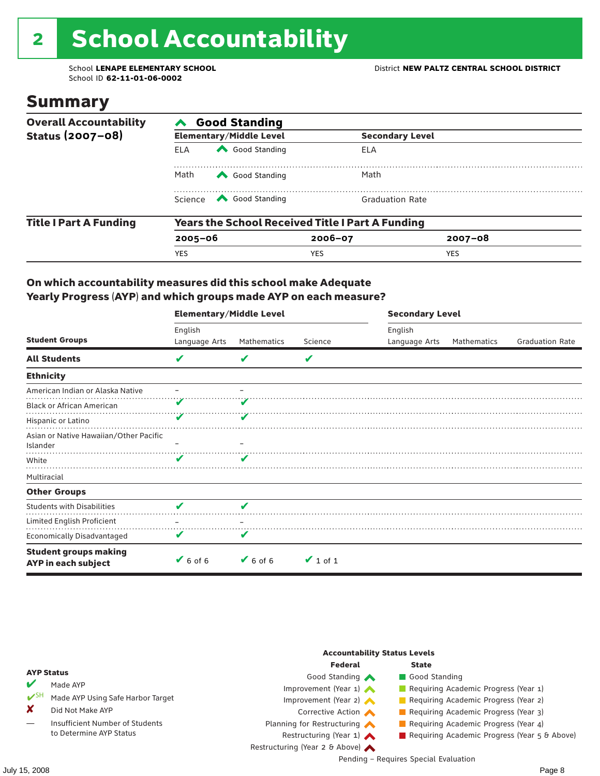# 2 School Accountability

School ID **62-11-01-06-0002**

### Summary

| <b>Overall Accountability</b> | <b>Good Standing</b>                                    |                                                                                                                                                                                                                                                                                                                                                 |                        |                        |  |  |  |
|-------------------------------|---------------------------------------------------------|-------------------------------------------------------------------------------------------------------------------------------------------------------------------------------------------------------------------------------------------------------------------------------------------------------------------------------------------------|------------------------|------------------------|--|--|--|
| Status (2007-08)              |                                                         | <b>Elementary/Middle Level</b>                                                                                                                                                                                                                                                                                                                  |                        | <b>Secondary Level</b> |  |  |  |
|                               | <b>ELA</b>                                              | Good Standing                                                                                                                                                                                                                                                                                                                                   | ELA                    |                        |  |  |  |
|                               | Math<br>Good Standing                                   |                                                                                                                                                                                                                                                                                                                                                 | Math                   |                        |  |  |  |
|                               |                                                         | Science <a> Science</a> Science Science Science <a> Science <a> Science <a> Science <a> Science <a> Science <a> Science <a> Science <a> Science <a> Science <a> Science <a> Science <a<br></a<br> Science <a> Science <a<br <="" th=""><th><b>Graduation Rate</b></th><th></th><th></th></a<br></a></a></a></a></a></a></a></a></a></a></a></a> | <b>Graduation Rate</b> |                        |  |  |  |
| <b>Title I Part A Funding</b> | <b>Years the School Received Title I Part A Funding</b> |                                                                                                                                                                                                                                                                                                                                                 |                        |                        |  |  |  |
|                               | $2005 - 06$                                             |                                                                                                                                                                                                                                                                                                                                                 | $2006 - 07$            | $2007 - 08$            |  |  |  |
|                               | <b>YES</b>                                              |                                                                                                                                                                                                                                                                                                                                                 | <b>YES</b>             | <b>YES</b>             |  |  |  |

#### On which accountability measures did this school make Adequate Yearly Progress (AYP) and which groups made AYP on each measure?

|                                                     | <b>Elementary/Middle Level</b> |                              |               | <b>Secondary Level</b> |             |                        |  |
|-----------------------------------------------------|--------------------------------|------------------------------|---------------|------------------------|-------------|------------------------|--|
|                                                     | English                        |                              |               | English                |             |                        |  |
| <b>Student Groups</b>                               | Language Arts                  | Mathematics                  | Science       | Language Arts          | Mathematics | <b>Graduation Rate</b> |  |
| <b>All Students</b>                                 | V                              | v                            | V             |                        |             |                        |  |
| <b>Ethnicity</b>                                    |                                |                              |               |                        |             |                        |  |
| American Indian or Alaska Native                    |                                |                              |               |                        |             |                        |  |
| <b>Black or African American</b>                    |                                |                              |               |                        |             |                        |  |
| Hispanic or Latino                                  |                                |                              |               |                        |             |                        |  |
| Asian or Native Hawaiian/Other Pacific<br>Islander  |                                |                              |               |                        |             |                        |  |
| White                                               | v                              | v                            |               |                        |             |                        |  |
| Multiracial                                         |                                |                              |               |                        |             |                        |  |
| <b>Other Groups</b>                                 |                                |                              |               |                        |             |                        |  |
| <b>Students with Disabilities</b>                   | V                              | V                            |               |                        |             |                        |  |
| Limited English Proficient                          |                                |                              |               |                        |             |                        |  |
| <b>Economically Disadvantaged</b>                   | V                              |                              |               |                        |             |                        |  |
| <b>Student groups making</b><br>AYP in each subject | $6$ of 6                       | $\blacktriangleright$ 6 of 6 | $\vee$ 1 of 1 |                        |             |                        |  |

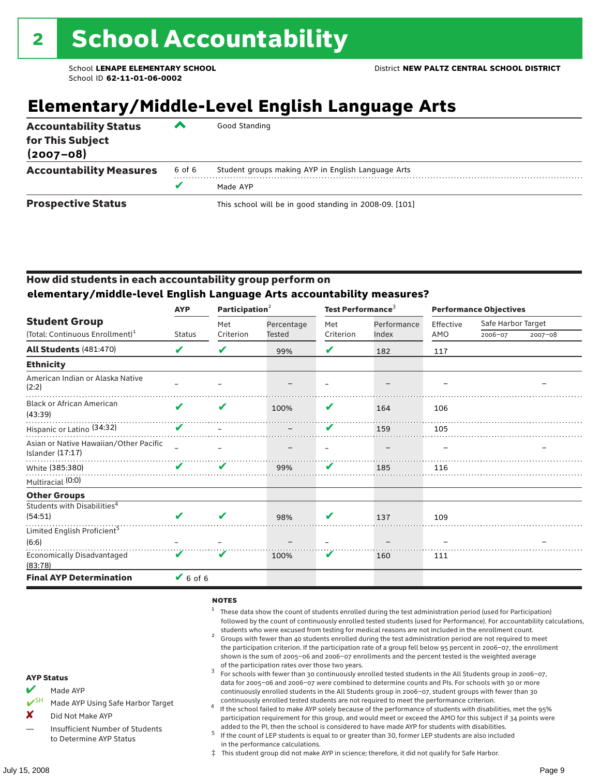# **Elementary/Middle-Level English Language Arts**

| <b>Accountability Status</b><br>for This Subject<br>$(2007 - 08)$ | $\overline{\phantom{a}}$ | Good Standing                                          |
|-------------------------------------------------------------------|--------------------------|--------------------------------------------------------|
| <b>Accountability Measures</b>                                    | 6 of 6                   | Student groups making AYP in English Language Arts     |
|                                                                   | v                        | Made AYP                                               |
| <b>Prospective Status</b>                                         |                          | This school will be in good standing in 2008-09. [101] |

#### How did students in each accountability group perform on **elementary/middle-level English Language Arts accountability measures?**

|                                                            | <b>AYP</b>    | Participation <sup>2</sup> |               | Test Performance <sup>3</sup> |             | <b>Performance Objectives</b> |                    |             |
|------------------------------------------------------------|---------------|----------------------------|---------------|-------------------------------|-------------|-------------------------------|--------------------|-------------|
| <b>Student Group</b>                                       |               | Met                        | Percentage    | Met                           | Performance | Effective                     | Safe Harbor Target |             |
| (Total: Continuous Enrollment) <sup>1</sup>                | <b>Status</b> | Criterion                  | <b>Tested</b> | Criterion                     | Index       | AMO                           | 2006-07            | $2007 - 08$ |
| All Students (481:470)                                     | V             | V                          | 99%           | V                             | 182         | 117                           |                    |             |
| <b>Ethnicity</b>                                           |               |                            |               |                               |             |                               |                    |             |
| American Indian or Alaska Native<br>(2:2)                  |               |                            |               |                               |             |                               |                    |             |
| <b>Black or African American</b><br>(43:39)                | ✔             | V                          | 100%          | V                             | 164         | 106                           |                    |             |
| Hispanic or Latino <sup>(34:32)</sup>                      | V             |                            |               | V                             | 159         | 105                           |                    |             |
| Asian or Native Hawaiian/Other Pacific<br>Islander (17:17) |               |                            |               |                               |             |                               |                    |             |
| White (385:380)                                            | V             | V                          | 99%           | v                             | 185         | 116                           |                    |             |
| Multiracial (0:0)                                          |               |                            |               |                               |             |                               |                    |             |
| <b>Other Groups</b>                                        |               |                            |               |                               |             |                               |                    |             |
| Students with Disabilities <sup>4</sup>                    |               |                            |               |                               |             |                               |                    |             |
| (54:51)                                                    | V             | V                          | 98%           | V                             | 137         | 109                           |                    |             |
| Limited English Proficient <sup>5</sup>                    |               |                            |               |                               |             |                               |                    |             |
| (6:6)                                                      |               |                            |               |                               |             |                               |                    |             |
| <b>Economically Disadvantaged</b><br>(83:78)               | V             | V                          | 100%          | V                             | 160         | 111                           |                    |             |
| <b>Final AYP Determination</b>                             | $V$ 6 of 6    |                            |               |                               |             |                               |                    |             |

#### **NOTES**

- <sup>1</sup> These data show the count of students enrolled during the test administration period (used for Participation) followed by the count of continuously enrolled tested students (used for Performance). For accountability calculations,
- students who were excused from testing for medical reasons are not included in the enrollment count. <sup>2</sup> Groups with fewer than 40 students enrolled during the test administration period are not required to meet the participation criterion. If the participation rate of a group fell below 95 percent in 2006–07, the enrollment shown is the sum of 2005–06 and 2006–07 enrollments and the percent tested is the weighted average
- of the participation rates over those two years.<br><sup>3</sup> For schools with fewer than 30 continuously enrolled tested students in the All Students group in 2006–07, data for 2005–06 and 2006–07 were combined to determine counts and PIs. For schools with 30 or more continuously enrolled students in the All Students group in 2006–07, student groups with fewer than 30
- continuously enrolled tested students are not required to meet the performance criterion. <sup>4</sup> If the school failed to make AYP solely because of the performance of students with disabilities, met the 95% participation requirement for this group, and would meet or exceed the AMO for this subject if 34 points were added to the PI, then the school is considered to have made AYP for students with disabilities.
- $5$  If the count of LEP students is equal to or greater than 30, former LEP students are also included in the performance calculations.
- ‡ This student group did not make AYP in science; therefore, it did not qualify for Safe Harbor.
- Made AYP
	- Made AYP Using Safe Harbor Target
- X Did Not Make AYP
- Insufficient Number of Students to Determine AYP Status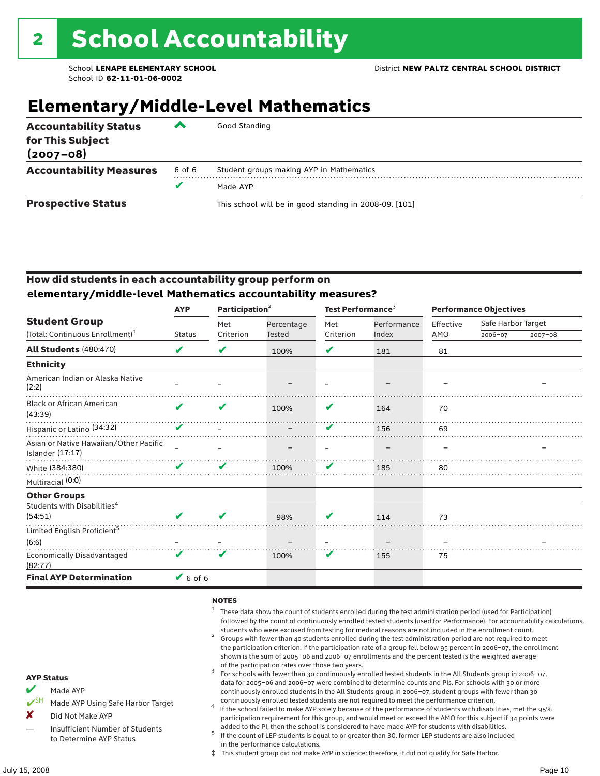## **Elementary/Middle-Level Mathematics**

| <b>Accountability Status</b><br>for This Subject<br>$(2007 - 08)$ | ▰      | Good Standing                                          |
|-------------------------------------------------------------------|--------|--------------------------------------------------------|
| <b>Accountability Measures</b>                                    | 6 of 6 | Student groups making AYP in Mathematics               |
|                                                                   |        | Made AYP                                               |
| <b>Prospective Status</b>                                         |        | This school will be in good standing in 2008-09. [101] |

#### How did students in each accountability group perform on **elementary/middle-level Mathematics accountability measures?**

|                                                            | <b>AYP</b>    | Participation <sup>2</sup> |            | Test Performance <sup>3</sup> |             | <b>Performance Objectives</b> |                    |             |
|------------------------------------------------------------|---------------|----------------------------|------------|-------------------------------|-------------|-------------------------------|--------------------|-------------|
| <b>Student Group</b>                                       |               | Met                        | Percentage | Met                           | Performance | Effective                     | Safe Harbor Target |             |
| (Total: Continuous Enrollment) <sup>1</sup>                | <b>Status</b> | Criterion                  | Tested     | Criterion                     | Index       | AMO                           | 2006-07            | $2007 - 08$ |
| All Students (480:470)                                     | V             | V                          | 100%       | ✔                             | 181         | 81                            |                    |             |
| <b>Ethnicity</b>                                           |               |                            |            |                               |             |                               |                    |             |
| American Indian or Alaska Native<br>(2:2)                  |               |                            |            |                               |             |                               |                    |             |
| <b>Black or African American</b><br>(43:39)                | $\mathbf{v}$  | V                          | 100%       | V                             | 164         | 70                            |                    |             |
| Hispanic or Latino <sup>(34:32)</sup>                      | V             |                            |            | $\boldsymbol{\nu}$            | 156         | 69                            |                    |             |
| Asian or Native Hawaiian/Other Pacific<br>Islander (17:17) |               |                            |            |                               |             |                               |                    |             |
| White (384:380)                                            | V             | v                          | 100%       | V                             | 185         | 80                            |                    |             |
| Multiracial (0:0)                                          |               |                            |            |                               |             |                               |                    |             |
| <b>Other Groups</b>                                        |               |                            |            |                               |             |                               |                    |             |
| Students with Disabilities <sup>4</sup><br>(54:51)         | $\mathbf{v}$  |                            | 98%        | V                             | 114         | 73                            |                    |             |
| Limited English Proficient <sup>5</sup>                    |               |                            |            |                               |             |                               |                    |             |
| (6:6)                                                      |               |                            |            |                               |             |                               |                    |             |
| <b>Economically Disadvantaged</b><br>(82:77)               | V             | V                          | 100%       | V                             | 155         | 75                            |                    |             |
| <b>Final AYP Determination</b>                             | $6$ of 6      |                            |            |                               |             |                               |                    |             |

#### **NOTES**

- <sup>1</sup> These data show the count of students enrolled during the test administration period (used for Participation) followed by the count of continuously enrolled tested students (used for Performance). For accountability calculations,
- students who were excused from testing for medical reasons are not included in the enrollment count.<br><sup>2</sup> Groups with fewer than 40 students enrolled during the test administration period are not required to meet the participation criterion. If the participation rate of a group fell below 95 percent in 2006–07, the enrollment shown is the sum of 2005–06 and 2006–07 enrollments and the percent tested is the weighted average
- of the participation rates over those two years.<br><sup>3</sup> For schools with fewer than 30 continuously enrolled tested students in the All Students group in 2006–07, data for 2005–06 and 2006–07 were combined to determine counts and PIs. For schools with 30 or more continuously enrolled students in the All Students group in 2006–07, student groups with fewer than 30
- continuously enrolled tested students are not required to meet the performance criterion. <sup>4</sup> If the school failed to make AYP solely because of the performance of students with disabilities, met the 95% participation requirement for this group, and would meet or exceed the AMO for this subject if 34 points were added to the PI, then the school is considered to have made AYP for students with disabilities.
- $5$  If the count of LEP students is equal to or greater than 30, former LEP students are also included in the performance calculations.
- ‡ This student group did not make AYP in science; therefore, it did not qualify for Safe Harbor.
- Made AYP
	- Made AYP Using Safe Harbor Target
- X Did Not Make AYP
- Insufficient Number of Students to Determine AYP Status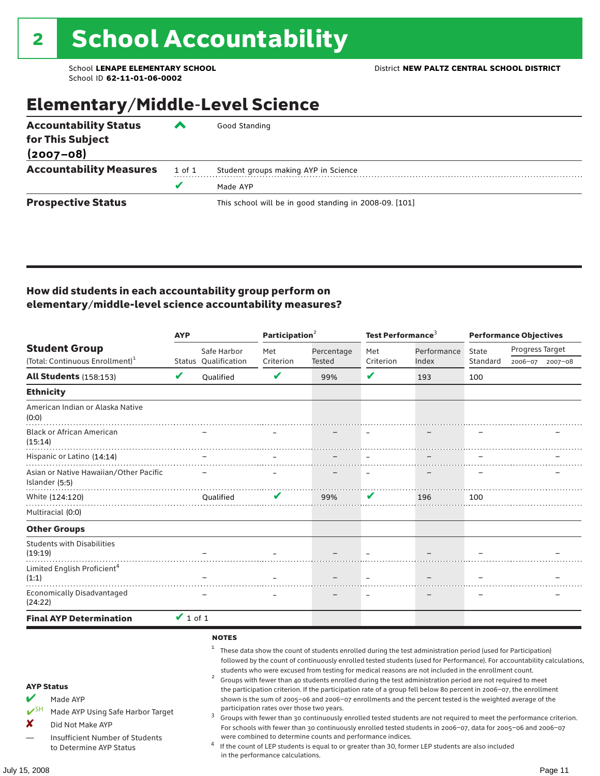## Elementary/Middle-Level Science

| <b>Accountability Status</b><br>for This Subject<br>$(2007 - 08)$ | ‴      | Good Standing                                          |
|-------------------------------------------------------------------|--------|--------------------------------------------------------|
|                                                                   |        |                                                        |
| <b>Accountability Measures</b>                                    | 1 of 1 | Student groups making AYP in Science                   |
|                                                                   | v      | Made AYP                                               |
| <b>Prospective Status</b>                                         |        | This school will be in good standing in 2008-09. [101] |

#### How did students in each accountability group perform on elementary/middle-level science accountability measures?

| <b>AYP</b>                                                                                                                                                                               |               |                        | Participation <sup>2</sup>                                                    |                                                            | Test Performance <sup>3</sup> |                                                                                                                                                                                                                                                                                                                                                                                                                                                                                                                                                                                                                                                                              | <b>Performance Objectives</b> |                                                                                                                                                                                                                                                                                                                                                                 |  |
|------------------------------------------------------------------------------------------------------------------------------------------------------------------------------------------|---------------|------------------------|-------------------------------------------------------------------------------|------------------------------------------------------------|-------------------------------|------------------------------------------------------------------------------------------------------------------------------------------------------------------------------------------------------------------------------------------------------------------------------------------------------------------------------------------------------------------------------------------------------------------------------------------------------------------------------------------------------------------------------------------------------------------------------------------------------------------------------------------------------------------------------|-------------------------------|-----------------------------------------------------------------------------------------------------------------------------------------------------------------------------------------------------------------------------------------------------------------------------------------------------------------------------------------------------------------|--|
| <b>Student Group</b>                                                                                                                                                                     |               | Safe Harbor            | Met                                                                           | Percentage                                                 | Met                           | Performance                                                                                                                                                                                                                                                                                                                                                                                                                                                                                                                                                                                                                                                                  | State                         | Progress Target                                                                                                                                                                                                                                                                                                                                                 |  |
| (Total: Continuous Enrollment) <sup>1</sup>                                                                                                                                              |               | Status Oualification   | Criterion                                                                     | Tested                                                     | Criterion                     | Index                                                                                                                                                                                                                                                                                                                                                                                                                                                                                                                                                                                                                                                                        | Standard                      | 2006-07<br>$2007 - 08$                                                                                                                                                                                                                                                                                                                                          |  |
| <b>All Students (158:153)</b>                                                                                                                                                            | V             | Oualified              | V                                                                             | 99%                                                        | V                             | 193                                                                                                                                                                                                                                                                                                                                                                                                                                                                                                                                                                                                                                                                          | 100                           |                                                                                                                                                                                                                                                                                                                                                                 |  |
| <b>Ethnicity</b>                                                                                                                                                                         |               |                        |                                                                               |                                                            |                               |                                                                                                                                                                                                                                                                                                                                                                                                                                                                                                                                                                                                                                                                              |                               |                                                                                                                                                                                                                                                                                                                                                                 |  |
| American Indian or Alaska Native<br>(0:0)                                                                                                                                                |               |                        |                                                                               |                                                            |                               |                                                                                                                                                                                                                                                                                                                                                                                                                                                                                                                                                                                                                                                                              |                               |                                                                                                                                                                                                                                                                                                                                                                 |  |
| <b>Black or African American</b><br>(15:14)                                                                                                                                              |               |                        |                                                                               |                                                            |                               |                                                                                                                                                                                                                                                                                                                                                                                                                                                                                                                                                                                                                                                                              |                               |                                                                                                                                                                                                                                                                                                                                                                 |  |
| Hispanic or Latino (14:14)                                                                                                                                                               |               |                        |                                                                               |                                                            |                               |                                                                                                                                                                                                                                                                                                                                                                                                                                                                                                                                                                                                                                                                              |                               |                                                                                                                                                                                                                                                                                                                                                                 |  |
| Asian or Native Hawaiian/Other Pacific<br>Islander (5:5)                                                                                                                                 |               |                        |                                                                               |                                                            |                               |                                                                                                                                                                                                                                                                                                                                                                                                                                                                                                                                                                                                                                                                              |                               |                                                                                                                                                                                                                                                                                                                                                                 |  |
| White (124:120)                                                                                                                                                                          |               | <b>Oualified</b>       | V                                                                             | 99%                                                        | V                             | 196                                                                                                                                                                                                                                                                                                                                                                                                                                                                                                                                                                                                                                                                          | 100                           |                                                                                                                                                                                                                                                                                                                                                                 |  |
| Multiracial (0:0)                                                                                                                                                                        |               |                        |                                                                               |                                                            |                               |                                                                                                                                                                                                                                                                                                                                                                                                                                                                                                                                                                                                                                                                              |                               |                                                                                                                                                                                                                                                                                                                                                                 |  |
| <b>Other Groups</b>                                                                                                                                                                      |               |                        |                                                                               |                                                            |                               |                                                                                                                                                                                                                                                                                                                                                                                                                                                                                                                                                                                                                                                                              |                               |                                                                                                                                                                                                                                                                                                                                                                 |  |
| <b>Students with Disabilities</b><br>(19:19)                                                                                                                                             |               |                        |                                                                               |                                                            |                               |                                                                                                                                                                                                                                                                                                                                                                                                                                                                                                                                                                                                                                                                              |                               |                                                                                                                                                                                                                                                                                                                                                                 |  |
| Limited English Proficient <sup>4</sup><br>(1:1)                                                                                                                                         |               |                        |                                                                               |                                                            |                               |                                                                                                                                                                                                                                                                                                                                                                                                                                                                                                                                                                                                                                                                              |                               |                                                                                                                                                                                                                                                                                                                                                                 |  |
| <b>Economically Disadvantaged</b><br>(24:22)                                                                                                                                             |               |                        |                                                                               |                                                            |                               |                                                                                                                                                                                                                                                                                                                                                                                                                                                                                                                                                                                                                                                                              |                               |                                                                                                                                                                                                                                                                                                                                                                 |  |
| <b>Final AYP Determination</b>                                                                                                                                                           | $\vee$ 1 of 1 |                        |                                                                               |                                                            |                               |                                                                                                                                                                                                                                                                                                                                                                                                                                                                                                                                                                                                                                                                              |                               |                                                                                                                                                                                                                                                                                                                                                                 |  |
| <b>AYP Status</b><br>V<br>Made AYP<br>$V^{\text{SH}}$<br>Made AYP Using Safe Harbor Target<br>x<br>Did Not Make AYP<br><b>Insufficient Number of Students</b><br>to Determine AYP Status |               | <b>NOTES</b><br>1<br>3 | participation rates over those two years.<br>in the performance calculations. | were combined to determine counts and performance indices. |                               | These data show the count of students enrolled during the test administration period (used for Participation)<br>students who were excused from testing for medical reasons are not included in the enrollment count.<br>Groups with fewer than 40 students enrolled during the test administration period are not required to meet<br>the participation criterion. If the participation rate of a group fell below 80 percent in 2006-07, the enrollment<br>shown is the sum of 2005-06 and 2006-07 enrollments and the percent tested is the weighted average of the<br>If the count of LEP students is equal to or greater than 30, former LEP students are also included |                               | followed by the count of continuously enrolled tested students (used for Performance). For accountability calculations,<br>Groups with fewer than 30 continuously enrolled tested students are not required to meet the performance criterion.<br>For schools with fewer than 30 continuously enrolled tested students in 2006-07, data for 2005-06 and 2006-07 |  |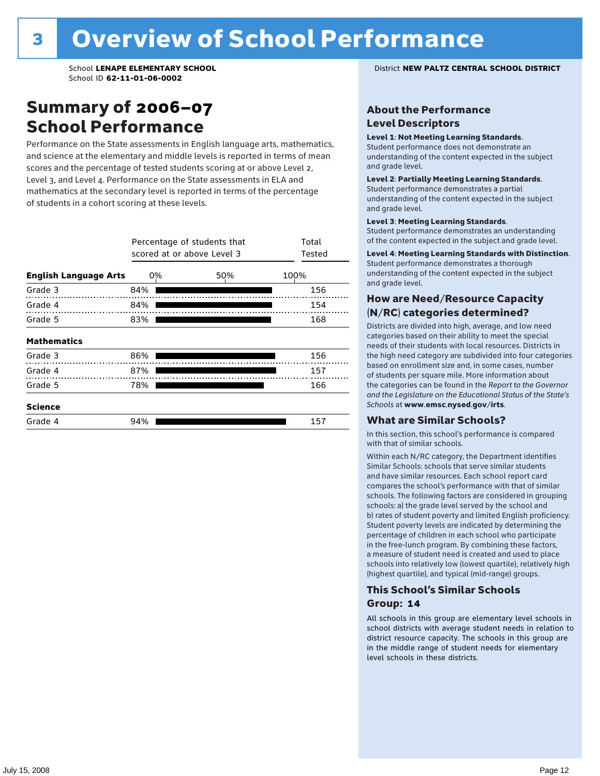### Summary of 2006–07 School Performance

Performance on the State assessments in English language arts, mathematics, and science at the elementary and middle levels is reported in terms of mean scores and the percentage of tested students scoring at or above Level 2, Level 3, and Level 4. Performance on the State assessments in ELA and mathematics at the secondary level is reported in terms of the percentage of students in a cohort scoring at these levels.

|                              |     | Percentage of students that<br>scored at or above Level 3 |      |  |  |  |  |
|------------------------------|-----|-----------------------------------------------------------|------|--|--|--|--|
| <b>English Language Arts</b> | 0%  | 50%                                                       | 100% |  |  |  |  |
| Grade 3                      | 84% |                                                           | 156  |  |  |  |  |
| Grade 4                      | 84% |                                                           | 154  |  |  |  |  |
| Grade 5                      | 83% |                                                           | 168  |  |  |  |  |
| <b>Mathematics</b>           |     |                                                           |      |  |  |  |  |
| Grade 3                      | 86% |                                                           | 156  |  |  |  |  |
| Grade 4                      | 87% |                                                           | 157  |  |  |  |  |
| Grade 5                      | 78% |                                                           | 166  |  |  |  |  |
| <b>Science</b>               |     |                                                           |      |  |  |  |  |
| Grade 4                      | 94% |                                                           | 157  |  |  |  |  |

School **LENAPE ELEMENTARY SCHOOL** District **NEW PALTZ CENTRAL SCHOOL DISTRICT**

#### About the Performance Level Descriptors

#### Level 1: Not Meeting Learning Standards.

Student performance does not demonstrate an understanding of the content expected in the subject and grade level.

#### Level 2: Partially Meeting Learning Standards.

Student performance demonstrates a partial understanding of the content expected in the subject and grade level.

#### Level 3: Meeting Learning Standards.

Student performance demonstrates an understanding of the content expected in the subject and grade level.

#### Level 4: Meeting Learning Standards with Distinction.

Student performance demonstrates a thorough understanding of the content expected in the subject and grade level.

#### How are Need/Resource Capacity (N/RC) categories determined?

Districts are divided into high, average, and low need categories based on their ability to meet the special needs of their students with local resources. Districts in the high need category are subdivided into four categories based on enrollment size and, in some cases, number of students per square mile. More information about the categories can be found in the *Report to the Governor and the Legislature on the Educational Status of the State's Schools* at www.emsc.nysed.gov/irts.

#### What are Similar Schools?

In this section, this school's performance is compared with that of similar schools.

Within each N/RC category, the Department identifies Similar Schools: schools that serve similar students and have similar resources. Each school report card compares the school's performance with that of similar schools. The following factors are considered in grouping schools: a) the grade level served by the school and b) rates of student poverty and limited English proficiency. Student poverty levels are indicated by determining the percentage of children in each school who participate in the free-lunch program. By combining these factors, a measure of student need is created and used to place schools into relatively low (lowest quartile), relatively high (highest quartile), and typical (mid-range) groups.

#### This School's Similar Schools Group: **14**

All schools in this group are elementary level schools in school districts with average student needs in relation to district resource capacity. The schools in this group are in the middle range of student needs for elementary level schools in these districts.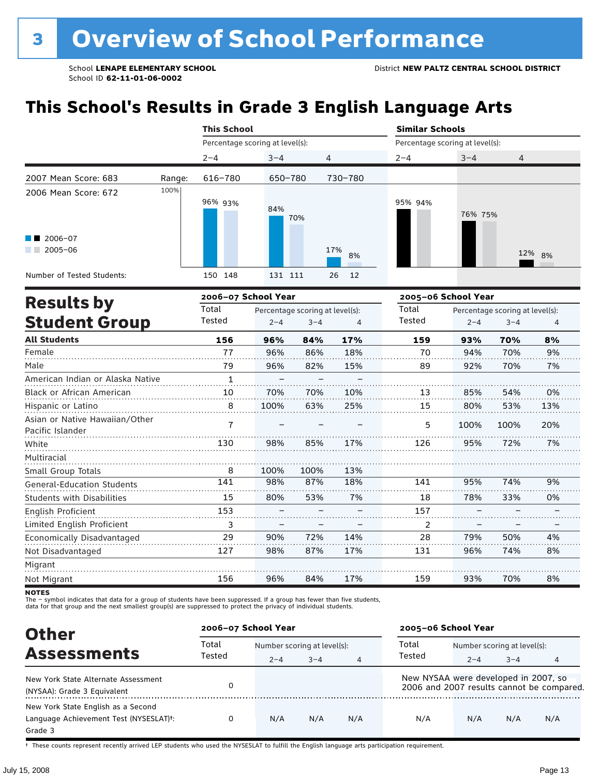# **This School's Results in Grade 3 English Language Arts**

|                                                           |        | <b>This School</b>              |            |           | <b>Similar Schools</b><br>Percentage scoring at level(s): |         |        |  |
|-----------------------------------------------------------|--------|---------------------------------|------------|-----------|-----------------------------------------------------------|---------|--------|--|
|                                                           |        | Percentage scoring at level(s): |            |           |                                                           |         |        |  |
|                                                           |        | $2 - 4$                         | $3 - 4$    | 4         | $2 - 4$                                                   | $3 - 4$ | 4      |  |
| 2007 Mean Score: 683                                      | Range: | 616-780                         | 650-780    | 730-780   |                                                           |         |        |  |
| 2006 Mean Score: 672<br>$\blacksquare$ 2006-07<br>2005-06 | 100%   | 96% 93%                         | 84%<br>70% | 17%<br>8% | 95% 94%                                                   | 76% 75% | 12% 8% |  |
| Number of Tested Students:                                |        | 150 148                         | 131 111    | 26<br>12  |                                                           |         |        |  |

|                                                    |              | 2006-07 School Year |                                 |     | 2005-06 School Year |         |                                 |     |
|----------------------------------------------------|--------------|---------------------|---------------------------------|-----|---------------------|---------|---------------------------------|-----|
| <b>Results by</b>                                  | Total        |                     | Percentage scoring at level(s): |     | Total               |         | Percentage scoring at level(s): |     |
| <b>Student Group</b>                               | Tested       | $2 - 4$             | $3 - 4$                         | 4   | Tested              | $2 - 4$ | $3 - 4$                         | 4   |
| <b>All Students</b>                                | 156          | 96%                 | 84%                             | 17% | 159                 | 93%     | 70%                             | 8%  |
| Female                                             | 77           | 96%                 | 86%                             | 18% | 70                  | 94%     | 70%                             | 9%  |
| Male                                               | 79           | 96%                 | 82%                             | 15% | 89                  | 92%     | 70%                             | 7%  |
| American Indian or Alaska Native                   | $\mathbf{1}$ |                     |                                 |     |                     |         |                                 |     |
| <b>Black or African American</b>                   | 10           | 70%                 | 70%                             | 10% | 13                  | 85%     | 54%                             | 0%  |
| Hispanic or Latino                                 | 8            | 100%                | 63%                             | 25% | 15                  | 80%     | 53%                             | 13% |
| Asian or Native Hawaiian/Other<br>Pacific Islander | 7            |                     |                                 |     | 5                   | 100%    | 100%                            | 20% |
| White                                              | 130          | 98%                 | 85%                             | 17% | 126                 | 95%     | 72%                             | 7%  |
| Multiracial                                        |              |                     |                                 |     |                     |         |                                 |     |
| Small Group Totals                                 | 8            | 100%                | 100%                            | 13% |                     |         |                                 |     |
| <b>General-Education Students</b>                  | 141          | 98%                 | 87%                             | 18% | 141                 | 95%     | 74%                             | 9%  |
| <b>Students with Disabilities</b>                  | 15           | 80%                 | 53%                             | 7%  | 18                  | 78%     | 33%                             | 0%  |
| English Proficient                                 | 153          |                     |                                 |     | 157                 |         |                                 |     |
| Limited English Proficient                         | 3            | —                   |                                 | —   | 2                   | -       |                                 |     |
| Economically Disadvantaged                         | 29           | 90%                 | 72%                             | 14% | 28                  | 79%     | 50%                             | 4%  |
| Not Disadvantaged                                  | 127          | 98%                 | 87%                             | 17% | 131                 | 96%     | 74%                             | 8%  |
| Migrant                                            |              |                     |                                 |     |                     |         |                                 |     |
| Not Migrant                                        | 156          | 96%                 | 84%                             | 17% | 159                 | 93%     | 70%                             | 8%  |

**NOTES** 

The – symbol indicates that data for a group of students have been suppressed. If a group has fewer than five students,<br>data for that group and the next smallest group(s) are suppressed to protect the privacy of individual

| <b>Other</b>                                                                            | 2006-07 School Year |         |                             |                | 2005-06 School Year                  |         |                             |                                           |  |
|-----------------------------------------------------------------------------------------|---------------------|---------|-----------------------------|----------------|--------------------------------------|---------|-----------------------------|-------------------------------------------|--|
|                                                                                         | Total               |         | Number scoring at level(s): |                |                                      |         | Number scoring at level(s): |                                           |  |
| <b>Assessments</b>                                                                      | Tested              | $2 - 4$ | $3 - 4$                     | $\overline{4}$ | Tested                               | $2 - 4$ | $3 - 4$                     |                                           |  |
| New York State Alternate Assessment<br>(NYSAA): Grade 3 Equivalent                      |                     |         |                             |                | New NYSAA were developed in 2007, so |         |                             | 2006 and 2007 results cannot be compared. |  |
| New York State English as a Second<br>Language Achievement Test (NYSESLAT)t:<br>Grade 3 | $\Omega$            | N/A     | N/A                         | N/A            | N/A                                  | N/A     | N/A                         | N/A                                       |  |

† These counts represent recently arrived LEP students who used the NYSESLAT to fulfill the English language arts participation requirement.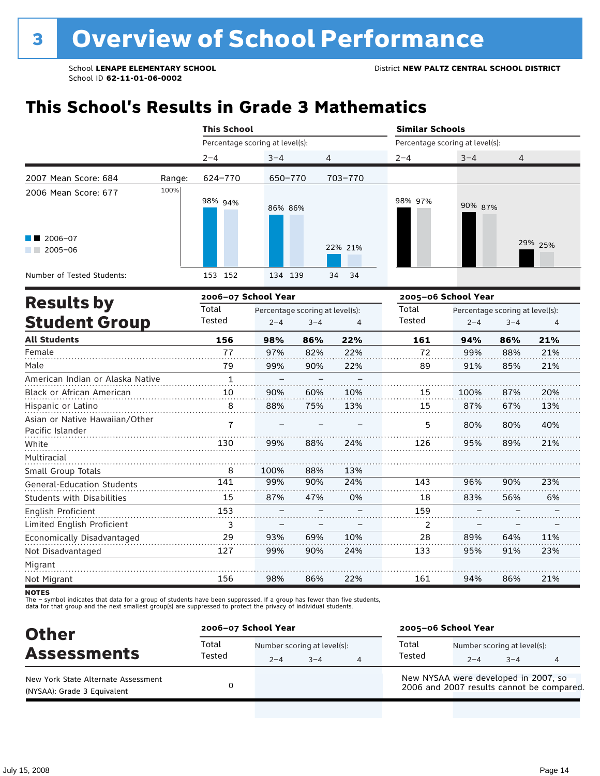# **This School's Results in Grade 3 Mathematics**

|                                                                   |        | <b>This School</b>              |         |                |         | <b>Similar Schools</b><br>Percentage scoring at level(s): |         |  |  |
|-------------------------------------------------------------------|--------|---------------------------------|---------|----------------|---------|-----------------------------------------------------------|---------|--|--|
|                                                                   |        | Percentage scoring at level(s): |         |                |         |                                                           |         |  |  |
|                                                                   |        | $2 - 4$                         | $3 - 4$ | $\overline{4}$ | $2 - 4$ | $3 - 4$                                                   | 4       |  |  |
| 2007 Mean Score: 684                                              | Range: | 624-770                         | 650-770 | 703-770        |         |                                                           |         |  |  |
| 2006 Mean Score: 677<br>$\blacksquare$ 2006-07<br>2005-06<br>a ka | 100%   | 98% <sub>94%</sub>              | 86% 86% | 22% 21%        | 98% 97% | 90% 87%                                                   | 29% 25% |  |  |
| Number of Tested Students:                                        |        | 153 152                         | 134 139 | 34<br>- 34     |         |                                                           |         |  |  |
| Deedle ku                                                         |        | 2006-07 School Year             |         |                |         | 2005-06 School Year                                       |         |  |  |

| <b>Results by</b>                                  |        | 2006–07 School Year             |         |     | 2005–06 School Year |         |                                 |     |  |
|----------------------------------------------------|--------|---------------------------------|---------|-----|---------------------|---------|---------------------------------|-----|--|
|                                                    | Total  | Percentage scoring at level(s): |         |     | Total               |         | Percentage scoring at level(s): |     |  |
| <b>Student Group</b>                               | Tested | $2 - 4$                         | $3 - 4$ | 4   | Tested              | $2 - 4$ | $3 - 4$                         | 4   |  |
| <b>All Students</b>                                | 156    | 98%                             | 86%     | 22% | 161                 | 94%     | 86%                             | 21% |  |
| Female                                             | 77     | 97%                             | 82%     | 22% | 72                  | 99%     | 88%                             | 21% |  |
| Male                                               | 79     | 99%                             | 90%     | 22% | 89                  | 91%     | 85%                             | 21% |  |
| American Indian or Alaska Native                   | 1      |                                 |         |     |                     |         |                                 |     |  |
| Black or African American                          | 10     | 90%                             | 60%     | 10% | 15                  | 100%    | 87%                             | 20% |  |
| Hispanic or Latino                                 | 8      | 88%                             | 75%     | 13% | 15                  | 87%     | 67%                             | 13% |  |
| Asian or Native Hawaiian/Other<br>Pacific Islander | 7      |                                 |         |     | 5                   | 80%     | 80%                             | 40% |  |
| White                                              | 130    | 99%                             | 88%     | 24% | 126                 | 95%     | 89%                             | 21% |  |
| Multiracial                                        |        |                                 |         |     |                     |         |                                 |     |  |
| <b>Small Group Totals</b>                          | 8      | 100%                            | 88%     | 13% |                     |         |                                 |     |  |
| <b>General-Education Students</b>                  | 141    | 99%                             | 90%     | 24% | 143                 | 96%     | 90%                             | 23% |  |
| <b>Students with Disabilities</b>                  | 15     | 87%                             | 47%     | 0%  | 18                  | 83%     | 56%                             | 6%  |  |
| English Proficient                                 | 153    |                                 |         |     | 159                 |         |                                 |     |  |
| Limited English Proficient                         | 3      |                                 |         |     | 2                   |         |                                 |     |  |
| Economically Disadvantaged                         | 29     | 93%                             | 69%     | 10% | 28                  | 89%     | 64%                             | 11% |  |
| Not Disadvantaged                                  | 127    | 99%                             | 90%     | 24% | 133                 | 95%     | 91%                             | 23% |  |
| Migrant                                            |        |                                 |         |     |                     |         |                                 |     |  |
| Not Migrant                                        | 156    | 98%                             | 86%     | 22% | 161                 | 94%     | 86%                             | 21% |  |

**NOTES** 

The – symbol indicates that data for a group of students have been suppressed. If a group has fewer than five students,<br>data for that group and the next smallest group(s) are suppressed to protect the privacy of individual

| <b>Other</b>                                                       | 2006-07 School Year |                                        |         |   | 2005-06 School Year                                                               |         |                                        |  |  |
|--------------------------------------------------------------------|---------------------|----------------------------------------|---------|---|-----------------------------------------------------------------------------------|---------|----------------------------------------|--|--|
| <b>Assessments</b>                                                 | Total<br>Tested     | Number scoring at level(s):<br>$2 - 4$ | $3 - 4$ | 4 | Total<br>Tested                                                                   | $2 - 4$ | Number scoring at level(s):<br>$3 - 4$ |  |  |
| New York State Alternate Assessment<br>(NYSAA): Grade 3 Equivalent |                     |                                        |         |   | New NYSAA were developed in 2007, so<br>2006 and 2007 results cannot be compared. |         |                                        |  |  |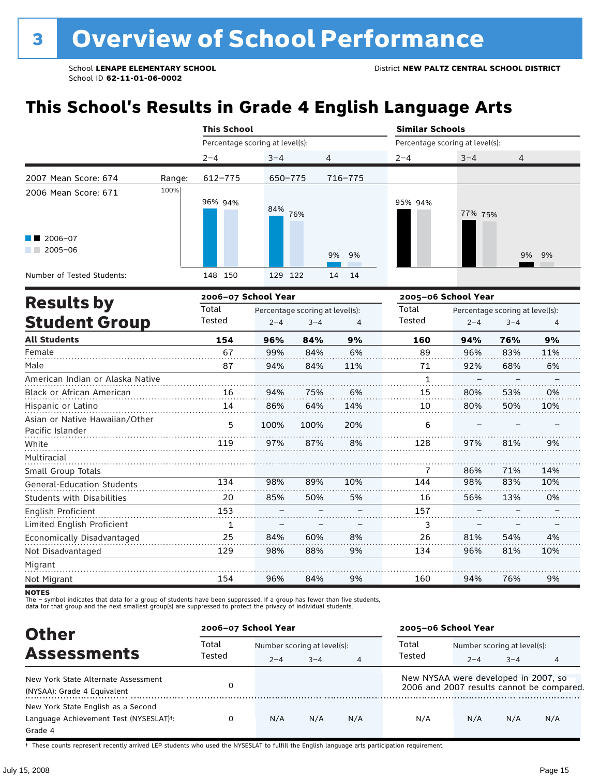# **This School's Results in Grade 4 English Language Arts**

|                                                                                                                                                                                                                                                                           |        | <b>This School</b>              |            |                | <b>Similar Schools</b>          |         |       |  |  |
|---------------------------------------------------------------------------------------------------------------------------------------------------------------------------------------------------------------------------------------------------------------------------|--------|---------------------------------|------------|----------------|---------------------------------|---------|-------|--|--|
|                                                                                                                                                                                                                                                                           |        | Percentage scoring at level(s): |            |                | Percentage scoring at level(s): |         |       |  |  |
|                                                                                                                                                                                                                                                                           |        | $2 - 4$                         | $3 - 4$    | $\overline{4}$ | $2 - 4$                         | $3 - 4$ | 4     |  |  |
| 2007 Mean Score: 674                                                                                                                                                                                                                                                      | Range: | 612-775                         | 650-775    | 716-775        |                                 |         |       |  |  |
| 2006 Mean Score: 671                                                                                                                                                                                                                                                      | 100%   | 96% 94%                         | 84%<br>76% |                | 95% 94%                         | 77% 75% |       |  |  |
| $\blacksquare$ 2006-07<br>2005-06<br><b>The Contract of the Contract of the Contract of the Contract of the Contract of the Contract of the Contract of the Contract of the Contract of the Contract of the Contract of the Contract of The Contract of The Contract </b> |        |                                 |            | 9% 9%          |                                 |         | 9% 9% |  |  |
| Number of Tested Students:                                                                                                                                                                                                                                                |        | 148 150                         | 129<br>122 | 14 14          |                                 |         |       |  |  |

| <b>Results by</b>                                  |        | 2006-07 School Year |                                 | 2005-06 School Year |              |         |                                 |     |
|----------------------------------------------------|--------|---------------------|---------------------------------|---------------------|--------------|---------|---------------------------------|-----|
|                                                    | Total  |                     | Percentage scoring at level(s): |                     | Total        |         | Percentage scoring at level(s): |     |
| <b>Student Group</b>                               | Tested | $2 - 4$             | $3 - 4$                         | 4                   | Tested       | $2 - 4$ | $3 - 4$                         | 4   |
| <b>All Students</b>                                | 154    | 96%                 | 84%                             | 9%                  | 160          | 94%     | 76%                             | 9%  |
| Female                                             | 67     | 99%                 | 84%                             | 6%                  | 89           | 96%     | 83%                             | 11% |
| Male                                               | 87     | 94%                 | 84%                             | 11%                 | 71           | 92%     | 68%                             | 6%  |
| American Indian or Alaska Native                   |        |                     |                                 |                     | $\mathbf{1}$ |         |                                 |     |
| Black or African American                          | 16     | 94%                 | 75%                             | 6%                  | 15           | 80%     | 53%                             | 0%  |
| Hispanic or Latino                                 | 14     | 86%                 | 64%                             | 14%                 | 10           | 80%     | 50%                             | 10% |
| Asian or Native Hawaiian/Other<br>Pacific Islander | 5      | 100%                | 100%                            | 20%                 | 6            |         |                                 |     |
| White                                              | 119    | 97%                 | 87%                             | 8%                  | 128          | 97%     | 81%                             | 9%  |
| Multiracial                                        |        |                     |                                 |                     |              |         |                                 |     |
| Small Group Totals                                 |        |                     |                                 |                     | 7            | 86%     | 71%                             | 14% |
| <b>General-Education Students</b>                  | 134    | 98%                 | 89%                             | 10%                 | 144          | 98%     | 83%                             | 10% |
| <b>Students with Disabilities</b>                  | 20     | 85%                 | 50%                             | 5%                  | 16           | 56%     | 13%                             | 0%  |
| English Proficient                                 | 153    |                     |                                 |                     | 157          |         |                                 |     |
| Limited English Proficient                         | 1      |                     |                                 |                     | 3            |         |                                 |     |
| Economically Disadvantaged                         | 25     | 84%                 | 60%                             | 8%                  | 26           | 81%     | 54%                             | 4%  |
| Not Disadvantaged                                  | 129    | 98%                 | 88%                             | 9%                  | 134          | 96%     | 81%                             | 10% |
| Migrant                                            |        |                     |                                 |                     |              |         |                                 |     |
| Not Migrant                                        | 154    | 96%                 | 84%                             | 9%                  | 160          | 94%     | 76%                             | 9%  |

**NOTES** 

The – symbol indicates that data for a group of students have been suppressed. If a group has fewer than five students,<br>data for that group and the next smallest group(s) are suppressed to protect the privacy of individual

| <b>Other</b>                                                                            | 2006-07 School Year |         |                             |     | 2005-06 School Year                  |                             |         |                                           |
|-----------------------------------------------------------------------------------------|---------------------|---------|-----------------------------|-----|--------------------------------------|-----------------------------|---------|-------------------------------------------|
|                                                                                         | Total               |         | Number scoring at level(s): |     |                                      | Number scoring at level(s): |         |                                           |
| <b>Assessments</b>                                                                      | Tested              | $2 - 4$ | $3 - 4$                     | 4   | Tested                               | $2 - 4$                     | $3 - 4$ |                                           |
| New York State Alternate Assessment<br>(NYSAA): Grade 4 Equivalent                      |                     |         |                             |     | New NYSAA were developed in 2007, so |                             |         | 2006 and 2007 results cannot be compared. |
| New York State English as a Second<br>Language Achievement Test (NYSESLAT)t:<br>Grade 4 |                     | N/A     | N/A                         | N/A | N/A                                  | N/A                         | N/A     | N/A                                       |

† These counts represent recently arrived LEP students who used the NYSESLAT to fulfill the English language arts participation requirement.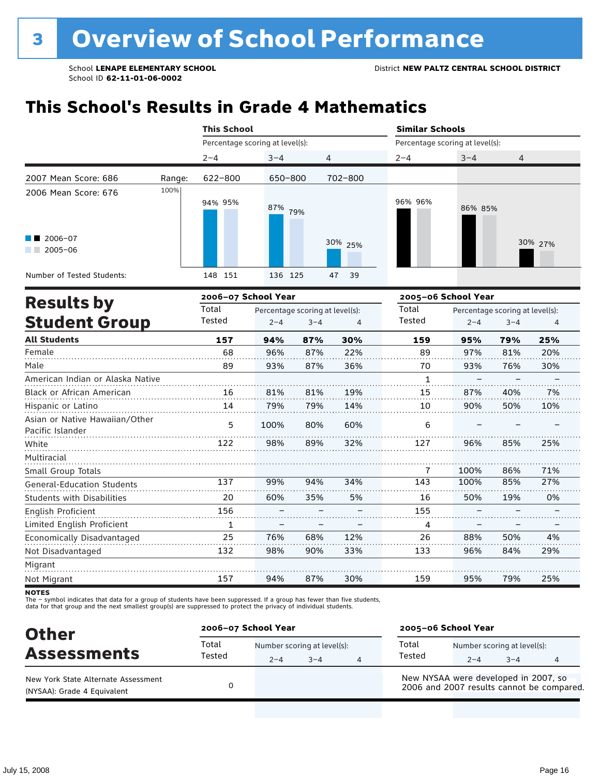# **This School's Results in Grade 4 Mathematics**

|                                  |        | <b>This School</b>              |                                 |                 |             | <b>Similar Schools</b>          |                     |                                 |         |  |
|----------------------------------|--------|---------------------------------|---------------------------------|-----------------|-------------|---------------------------------|---------------------|---------------------------------|---------|--|
|                                  |        | Percentage scoring at level(s): |                                 |                 |             | Percentage scoring at level(s): |                     |                                 |         |  |
|                                  |        | $2 - 4$                         | $3 - 4$                         | 4               |             | $2 - 4$                         | $3 - 4$             | 4                               |         |  |
| 2007 Mean Score: 686             | Range: | 622-800                         | 650-800                         |                 | 702-800     |                                 |                     |                                 |         |  |
| 2006 Mean Score: 676             | 100%   | 94% 95%                         | 87%                             | 79%             |             | 96% 96%                         | 86% 85%             |                                 |         |  |
| 2006-07<br>$2005 - 06$           |        |                                 |                                 |                 | 30% 25%     |                                 |                     |                                 | 30% 27% |  |
| Number of Tested Students:       |        | 148 151                         | 136 125                         |                 | 47<br>39    |                                 |                     |                                 |         |  |
| <b>Results by</b>                |        | 2006-07 School Year             |                                 |                 |             |                                 | 2005-06 School Year |                                 |         |  |
|                                  |        | Total                           | Percentage scoring at level(s): |                 |             | Total                           |                     | Percentage scoring at level(s): |         |  |
| <b>Student Group</b>             |        | Tested                          | $2 - 4$                         | $3 - 4$         | 4           | Tested                          | $2 - 4$             | $3 - 4$                         | 4       |  |
| <b>All Students</b>              |        | 157                             | 94%                             | 87%             | 30%         | 159                             | 95%                 | 79%                             | 25%     |  |
| Female                           |        | 68                              | 96%                             | 87%             | 22%         | 89                              | 97%                 | 81%                             | 20%     |  |
| Male                             |        | 89                              | 93%                             | 87%             | 36%         | 70                              | 93%                 | 76%                             | 30%     |  |
| American Indian or Alaska Native |        |                                 |                                 |                 |             | 1                               |                     |                                 |         |  |
| Black or African American        |        | 16                              | 81%                             | 81%             | 19%         | 15                              | 87%                 | 40%                             | 7%      |  |
| Hispanic or Latino               |        | 14                              | 79%                             | 79%             | 14%         | 10                              | 90%                 | 50%                             | 10%     |  |
| Asian or Native Hawaiian/Other   |        | E.                              | 1000 <sub>1</sub>               | 00 <sup>0</sup> | $C_{\rm O}$ | $\epsilon$                      |                     |                                 |         |  |

| Asian or Native Hawaiian/Other    | 5   | 100% | 80% | 60% | 6   |      |     |     |  |
|-----------------------------------|-----|------|-----|-----|-----|------|-----|-----|--|
| Pacific Islander                  |     |      |     |     |     |      |     |     |  |
| White                             | 122 | 98%  | 89% | 32% | 127 | 96%  | 85% | 25% |  |
| Multiracial                       |     |      |     |     |     |      |     |     |  |
| Small Group Totals                |     |      |     |     |     | 100% | 86% | 71% |  |
| <b>General-Education Students</b> | 137 | 99%  | 94% | 34% | 143 | 100% | 85% | 27% |  |
| <b>Students with Disabilities</b> | 20  | 60%  | 35% | 5%  | 16  | 50%  | 19% | 0%  |  |
| English Proficient                | 156 |      |     |     | 155 |      |     |     |  |
| Limited English Proficient        | 1   |      |     |     | 4   |      |     |     |  |
| Economically Disadvantaged        | 25  | 76%  | 68% | 12% | 26  | 88%  | 50% | 4%  |  |
| Not Disadvantaged                 | 132 | 98%  | 90% | 33% | 133 | 96%  | 84% | 29% |  |
| Migrant                           |     |      |     |     |     |      |     |     |  |
| Not Migrant                       | 157 | 94%  | 87% | 30% | 159 | 95%  | 79% | 25% |  |

**NOTES** 

The – symbol indicates that data for a group of students have been suppressed. If a group has fewer than five students,<br>data for that group and the next smallest group(s) are suppressed to protect the privacy of individual

| <b>Other</b>                                                       |                 | 2006-07 School Year                    |         |   |                                      | 2005-06 School Year                    |         |                                           |  |
|--------------------------------------------------------------------|-----------------|----------------------------------------|---------|---|--------------------------------------|----------------------------------------|---------|-------------------------------------------|--|
| <b>Assessments</b>                                                 | Total<br>Tested | Number scoring at level(s):<br>$2 - 4$ | $3 - 4$ | 4 | Total<br>Tested                      | Number scoring at level(s):<br>$2 - 4$ | $3 - 4$ |                                           |  |
| New York State Alternate Assessment<br>(NYSAA): Grade 4 Equivalent |                 |                                        |         |   | New NYSAA were developed in 2007, so |                                        |         | 2006 and 2007 results cannot be compared. |  |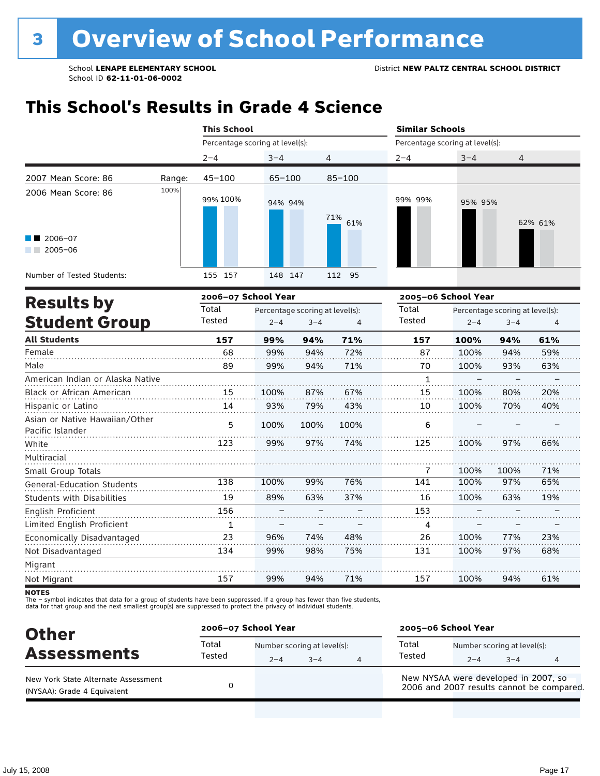## **This School's Results in Grade 4 Science**

|                                                    |        | <b>This School</b>  |                                 |                                 |            | <b>Similar Schools</b>          |         |                                 |         |  |
|----------------------------------------------------|--------|---------------------|---------------------------------|---------------------------------|------------|---------------------------------|---------|---------------------------------|---------|--|
|                                                    |        |                     | Percentage scoring at level(s): |                                 |            | Percentage scoring at level(s): |         |                                 |         |  |
|                                                    |        | $2 - 4$             | $3 - 4$                         |                                 | 4          | $2 - 4$                         | $3 - 4$ | 4                               |         |  |
| 2007 Mean Score: 86                                | Range: | $45 - 100$          | $65 - 100$                      |                                 | $85 - 100$ |                                 |         |                                 |         |  |
| 2006 Mean Score: 86                                | 100%   | 99% 100%            | 94% 94%                         |                                 | 71%<br>61% | 99% 99%                         | 95% 95% |                                 | 62% 61% |  |
| $2006 - 07$<br>$2005 - 06$                         |        |                     |                                 |                                 |            |                                 |         |                                 |         |  |
| Number of Tested Students:                         |        | 155<br>157          | 148 147                         |                                 | 112 95     |                                 |         |                                 |         |  |
| <b>Results by</b>                                  |        | 2006-07 School Year |                                 |                                 |            | 2005-06 School Year             |         |                                 |         |  |
|                                                    |        | Total               |                                 | Percentage scoring at level(s): |            | Total                           |         | Percentage scoring at level(s): |         |  |
| <b>Student Group</b>                               |        | Tested              | $2 - 4$                         | $3 - 4$                         | 4          | Tested                          | $2 - 4$ | $3 - 4$                         | 4       |  |
| <b>All Students</b>                                |        | 157                 | 99%                             | 94%                             | 71%        | 157                             | 100%    | 94%                             | 61%     |  |
| Female                                             |        | 68                  | 99%                             | 94%                             | 72%        | 87                              | 100%    | 94%                             | 59%     |  |
| Male                                               |        | 89                  | 99%                             | 94%                             | 71%        | 70                              | 100%    | 93%                             | 63%     |  |
| American Indian or Alaska Native                   |        |                     |                                 |                                 |            | 1                               |         |                                 |         |  |
| <b>Black or African American</b>                   |        | 15                  | 100%                            | 87%                             | 67%        | 15                              | 100%    | 80%                             | 20%     |  |
| Hispanic or Latino                                 |        | 14                  | 93%                             | 79%                             | 43%        | 10                              | 100%    | 70%                             | 40%     |  |
| Asian or Native Hawaiian/Other<br>Pacific Islander |        | 5                   | 100%                            | 100%                            | 100%       | 6                               |         |                                 |         |  |
| White                                              |        | 123                 | 99%                             | 97%                             | 74%        | 125                             | 100%    | 97%                             | 66%     |  |
| Multiracial                                        |        |                     |                                 |                                 |            |                                 |         |                                 |         |  |

Migrant Not Migrant

Small Group Totals

English Proficient

Not Disadvantaged

General-Education Students Students with Disabilities

Limited English Proficient Economically Disadvantaged

The – symbol indicates that data for a group of students have been suppressed. If a group has fewer than five students,<br>data for that group and the next smallest group(s) are suppressed to protect the privacy of individual

100% 89% – – 96% 99%

99% 63% – – 74% 98% 76% 37% – – 48% 75%

100% 100% 100% – – 100% 100% 100% 97% 63% – – 77% 97%

71% 65% 19% – – 23% 68%

61%

. . . . . . . .

94%

100%

157

71%

94%

99%

157

| <b>Other</b>                                                       |                 | 2006-07 School Year |                                     |   |                                      | 2005-06 School Year |                                        |                                           |  |  |
|--------------------------------------------------------------------|-----------------|---------------------|-------------------------------------|---|--------------------------------------|---------------------|----------------------------------------|-------------------------------------------|--|--|
| <b>Assessments</b>                                                 | Total<br>Tested | $2 - 4$             | Number scoring at level(s):<br>$-4$ | 4 | Total<br>Tested                      | $2 - 4$             | Number scoring at level(s):<br>$3 - 4$ |                                           |  |  |
| New York State Alternate Assessment<br>(NYSAA): Grade 4 Equivalent |                 |                     |                                     |   | New NYSAA were developed in 2007, so |                     |                                        | 2006 and 2007 results cannot be compared. |  |  |

**NOTES**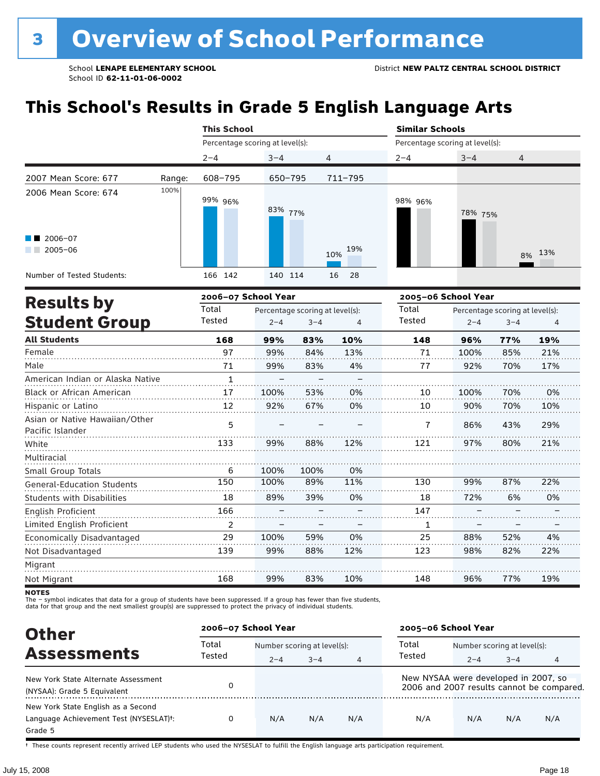# **This School's Results in Grade 5 English Language Arts**

|                                   |        | <b>This School</b>                        |         |                | <b>Similar Schools</b>          |         |        |
|-----------------------------------|--------|-------------------------------------------|---------|----------------|---------------------------------|---------|--------|
|                                   |        | Percentage scoring at level(s):           |         |                | Percentage scoring at level(s): |         |        |
|                                   |        | $2 - 4$                                   | $3 - 4$ | $\overline{4}$ | $2 - 4$                         | $3 - 4$ | 4      |
| 2007 Mean Score: 677              | Range: | 608-795                                   | 650-795 | 711-795        |                                 |         |        |
| 2006 Mean Score: 674              | 100%   | 99% 96%                                   | 83% 77% |                | 98% 96%                         | 78% 75% |        |
| $\blacksquare$ 2006-07<br>2005-06 |        |                                           |         | 19%<br>10%     |                                 |         | 8% 13% |
| Number of Tested Students:        |        | 166 142                                   | 140 114 | 16<br>- 28     |                                 |         |        |
|                                   |        | $\sim$ $\sim$ $\sim$ $\sim$ $\sim$ $\sim$ |         |                |                                 | ------  |        |

|                                                    |                | 2006-07 School Year |                                 | 2005-06 School Year |        |                                 |         |     |
|----------------------------------------------------|----------------|---------------------|---------------------------------|---------------------|--------|---------------------------------|---------|-----|
| <b>Results by</b>                                  | Total          |                     | Percentage scoring at level(s): |                     | Total  | Percentage scoring at level(s): |         |     |
| <b>Student Group</b>                               | Tested         | $2 - 4$             | $3 - 4$                         | 4                   | Tested | $2 - 4$                         | $3 - 4$ | 4   |
| <b>All Students</b>                                | 168            | 99%                 | 83%                             | 10%                 | 148    | 96%                             | 77%     | 19% |
| Female                                             | 97             | 99%                 | 84%                             | 13%                 | 71     | 100%                            | 85%     | 21% |
| Male                                               | 71             | 99%                 | 83%                             | 4%                  | 77     | 92%                             | 70%     | 17% |
| American Indian or Alaska Native                   | $\mathbf{1}$   |                     |                                 |                     |        |                                 |         |     |
| <b>Black or African American</b>                   | 17             | 100%                | 53%                             | 0%                  | 10     | 100%                            | 70%     | 0%  |
| Hispanic or Latino                                 | 12             | 92%                 | 67%                             | 0%                  | 10     | 90%                             | 70%     | 10% |
| Asian or Native Hawaiian/Other<br>Pacific Islander | 5              |                     |                                 |                     | 7      | 86%                             | 43%     | 29% |
| White                                              | 133            | 99%                 | 88%                             | 12%                 | 121    | 97%                             | 80%     | 21% |
| Multiracial                                        |                |                     |                                 |                     |        |                                 |         |     |
| Small Group Totals                                 | 6              | 100%                | 100%                            | 0%                  |        |                                 |         |     |
| <b>General-Education Students</b>                  | 150            | 100%                | 89%                             | 11%                 | 130    | 99%                             | 87%     | 22% |
| <b>Students with Disabilities</b>                  | 18             | 89%                 | 39%                             | 0%                  | 18     | 72%                             | 6%      | 0%  |
| English Proficient                                 | 166            |                     |                                 |                     | 147    |                                 |         |     |
| Limited English Proficient                         | $\overline{2}$ |                     |                                 |                     | 1      |                                 |         |     |
| Economically Disadvantaged                         | 29             | 100%                | 59%                             | 0%                  | 25     | 88%                             | 52%     | 4%  |
| Not Disadvantaged                                  | 139            | 99%                 | 88%                             | 12%                 | 123    | 98%                             | 82%     | 22% |
| Migrant                                            |                |                     |                                 |                     |        |                                 |         |     |
| Not Migrant                                        | 168            | 99%                 | 83%                             | 10%                 | 148    | 96%                             | 77%     | 19% |

**NOTES** 

The – symbol indicates that data for a group of students have been suppressed. If a group has fewer than five students,<br>data for that group and the next smallest group(s) are suppressed to protect the privacy of individual

| <b>Other</b>                                                                                         | 2006-07 School Year |         |                             |                | 2005-06 School Year                  |                             |         |                                           |
|------------------------------------------------------------------------------------------------------|---------------------|---------|-----------------------------|----------------|--------------------------------------|-----------------------------|---------|-------------------------------------------|
|                                                                                                      | Total               |         | Number scoring at level(s): |                |                                      | Number scoring at level(s): |         |                                           |
| <b>Assessments</b>                                                                                   | Tested              | $2 - 4$ | $3 - 4$                     | $\overline{4}$ | Tested                               | $2 - 4$                     | $3 - 4$ | 4                                         |
| New York State Alternate Assessment<br>(NYSAA): Grade 5 Equivalent                                   |                     |         |                             |                | New NYSAA were developed in 2007, so |                             |         | 2006 and 2007 results cannot be compared. |
| New York State English as a Second<br>Language Achievement Test (NYSESLAT) <sup>t</sup> :<br>Grade 5 | 0                   | N/A     | N/A                         | N/A            | N/A                                  | N/A                         | N/A     | N/A                                       |

† These counts represent recently arrived LEP students who used the NYSESLAT to fulfill the English language arts participation requirement.